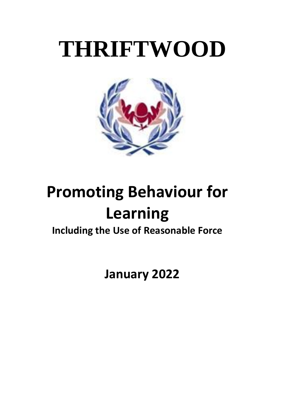# **THRIFTWOOD**



## **Promoting Behaviour for Learning**

### **Including the Use of Reasonable Force**

 **January 2022**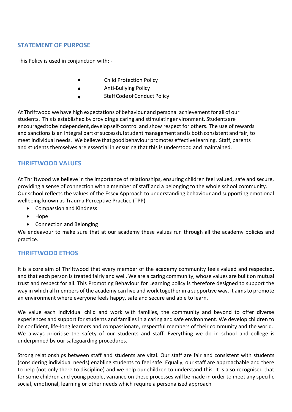#### **STATEMENT OF PURPOSE**

This Policy is used in conjunction with: -

- Child Protection Policy •
- Anti-Bullying Policy •
- StaffCodeofConduct Policy •

At Thriftwood we have high expectations of behaviour and personal achievement for all of our students. Thisis established by providing a caring and stimulatingenvironment. Studentsare encouragedtobeindependent,developself-control and show respect for others. The use of rewards and sanctions is an integral part of successful student management and is both consistent and fair, to meet individual needs. We believe that good behaviour promotes effective learning. Staff, parents and students themselves are essential in ensuring that this is understood and maintained.

#### **THRIFTWOOD VALUES**

At Thriftwood we believe in the importance of relationships, ensuring children feel valued, safe and secure, providing a sense of connection with a member of staff and a belonging to the whole school community. Our school reflects the values of the Essex Approach to understanding behaviour and supporting emotional wellbeing known as Trauma Perceptive Practice (TPP)

- Compassion and Kindness
- Hope
- Connection and Belonging

We endeavour to make sure that at our academy these values run through all the academy policies and practice.

#### **THRIFTWOOD ETHOS**

It is a core aim of Thriftwood that every member of the academy community feels valued and respected, and that each person is treated fairly and well. We are a caring community, whose values are built on mutual trust and respect for all. This Promoting Behaviour for Learning policy is therefore designed to support the way in which all members of the academy can live and work together in a supportive way. It aims to promote an environment where everyone feels happy, safe and secure and able to learn.

We value each individual child and work with families, the community and beyond to offer diverse experiences and support for students and families in a caring and safe environment. We develop children to be confident, life-long learners and compassionate, respectful members of their community and the world. We always prioritise the safety of our students and staff. Everything we do in school and college is underpinned by our safeguarding procedures.

Strong relationships between staff and students are vital. Our staff are fair and consistent with students (considering individual needs) enabling students to feel safe. Equally, our staff are approachable and there to help (not only there to discipline) and we help our children to understand this. It is also recognised that for some children and young people, variance on these processes will be made in order to meet any specific social, emotional, learning or other needs which require a personalised approach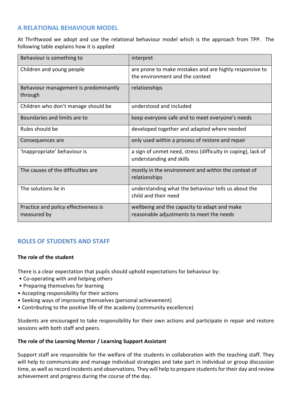#### **A RELATIONAL BEHAVIOUR MODEL**

At Thriftwood we adopt and use the relational behaviour model which is the approach from TPP. The following table explains how it is applied

| Behaviour is something to                           | interpret                                                                                  |
|-----------------------------------------------------|--------------------------------------------------------------------------------------------|
| Children and young people                           | are prone to make mistakes and are highly responsive to<br>the environment and the context |
| Behaviour management is predominantly<br>through    | relationships                                                                              |
| Children who don't manage should be                 | understood and included                                                                    |
| Boundaries and limits are to                        | keep everyone safe and to meet everyone's needs                                            |
| Rules should be                                     | developed together and adapted where needed                                                |
| Consequences are                                    | only used within a process of restore and repair                                           |
| 'Inappropriate' behaviour is                        | a sign of unmet need, stress (difficulty in coping), lack of<br>understanding and skills   |
| The causes of the difficulties are                  | mostly in the environment and within the context of<br>relationships                       |
| The solutions lie in                                | understanding what the behaviour tells us about the<br>child and their need                |
| Practice and policy effectiveness is<br>measured by | wellbeing and the capacity to adapt and make<br>reasonable adjustments to meet the needs   |

#### **ROLES OF STUDENTS AND STAFF**

#### **The role of the student**

There is a clear expectation that pupils should uphold expectations for behaviour by:

- Co-operating with and helping others
- Preparing themselves for learning
- Accepting responsibility for their actions
- Seeking ways of improving themselves (personal achievement)
- Contributing to the positive life of the academy (community excellence)

Students are encouraged to take responsibility for their own actions and participate in repair and restore sessions with both staff and peers.

#### **The role of the Learning Mentor / Learning Support Assistant**

Support staff are responsible for the welfare of the students in collaboration with the teaching staff. They will help to communicate and manage individual strategies and take part in individual or group discussion time, as well as record incidents and observations. They will help to prepare studentsfor their day and review achievement and progress during the course of the day.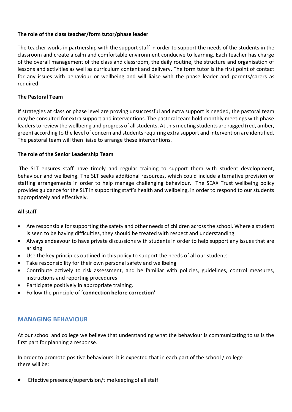#### **The role of the class teacher/form tutor/phase leader**

The teacher works in partnership with the support staff in order to support the needs of the students in the classroom and create a calm and comfortable environment conducive to learning. Each teacher has charge of the overall management of the class and classroom, the daily routine, the structure and organisation of lessons and activities as well as curriculum content and delivery. The form tutor is the first point of contact for any issues with behaviour or wellbeing and will liaise with the phase leader and parents/carers as required.

#### **The Pastoral Team**

If strategies at class or phase level are proving unsuccessful and extra support is needed, the pastoral team may be consulted for extra support and interventions. The pastoral team hold monthly meetings with phase leaders to review the wellbeing and progress of all students. At this meeting students are ragged (red, amber, green) according to the level of concern and students requiring extra support and intervention are identified. The pastoral team will then liaise to arrange these interventions.

#### **The role of the Senior Leadership Team**

The SLT ensures staff have timely and regular training to support them with student development, behaviour and wellbeing. The SLT seeks additional resources, which could include alternative provision or staffing arrangements in order to help manage challenging behaviour. The SEAX Trust wellbeing policy provides guidance for the SLT in supporting staff's health and wellbeing, in order to respond to our students appropriately and effectively.

#### **All staff**

- Are responsible for supporting the safety and other needs of children across the school. Where a student is seen to be having difficulties, they should be treated with respect and understanding
- Always endeavour to have private discussions with students in order to help support any issues that are arising
- Use the key principles outlined in this policy to support the needs of all our students
- Take responsibility for their own personal safety and wellbeing
- Contribute actively to risk assessment, and be familiar with policies, guidelines, control measures, instructions and reporting procedures
- Participate positively in appropriate training.
- Follow the principle of '**connection before correction'**

#### **MANAGING BEHAVIOUR**

At our school and college we believe that understanding what the behaviour is communicating to us is the first part for planning a response.

In order to promote positive behaviours, it is expected that in each part of the school / college there will be:

Effective presence/supervision/time keeping of all staff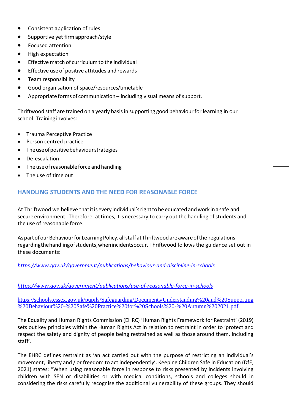- Consistent application of rules
- Supportive yet firm approach/style
- Focused attention
- High expectation
- Effective match of curriculum to the individual
- Effective use of positive attitudes and rewards
- Team responsibility
- Good organisation of space/resources/timetable
- Appropriate forms of communication including visual means of support.

Thriftwood staff are trained on a yearly basis in supporting good behaviour for learning in our school. Training involves:

- Trauma Perceptive Practice
- Person centred practice
- Theuseofpositivebehaviourstrategies
- De-escalation
- The use of reasonable force and handling
- The use of time out

#### **HANDLING STUDENTS AND THE NEED FOR REASONABLE FORCE**

At Thriftwood we believe that it is every individual's right to be educated and work in a safe and secure environment. Therefore, at times, it is necessary to carry out the handling of students and the use of reasonable force.

As part of our Behaviour for Learning Policy, all staff at Thriftwood are aware of the regulations regardingthehandlingofstudents,whenincidentsoccur. Thriftwood follows the guidance set out in these documents:

#### *<https://www.gov.uk/government/publications/behaviour-and-discipline-in-schools>*

#### *<https://www.gov.uk/government/publications/use-of-reasonable-force-in-schools>*

[https://schools.essex.gov.uk/pupils/Safeguarding/Documents/Understanding%20and%20Supporting](https://schools.essex.gov.uk/pupils/Safeguarding/Documents/Understanding%20and%20Supporting%20Behaviour%20-%20Safe%20Practice%20for%20Schools%20-%20Autumn%202021.pdf) [%20Behaviour%20-%20Safe%20Practice%20for%20Schools%20-%20Autumn%202021.pdf](https://schools.essex.gov.uk/pupils/Safeguarding/Documents/Understanding%20and%20Supporting%20Behaviour%20-%20Safe%20Practice%20for%20Schools%20-%20Autumn%202021.pdf)

The Equality and Human Rights Commission (EHRC) 'Human Rights Framework for Restraint' (2019) sets out key principles within the Human Rights Act in relation to restraint in order to 'protect and respect the safety and dignity of people being restrained as well as those around them, including staff'.

The EHRC defines restraint as 'an act carried out with the purpose of restricting an individual's movement, liberty and / or freedom to act independently'. Keeping Children Safe in Education (DfE, 2021) states: "When using reasonable force in response to risks presented by incidents involving children with SEN or disabilities or with medical conditions, schools and colleges should in considering the risks carefully recognise the additional vulnerability of these groups. They should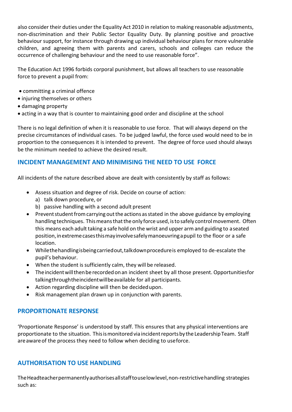also consider their duties under the Equality Act 2010 in relation to making reasonable adjustments, non-discrimination and their Public Sector Equality Duty. By planning positive and proactive behaviour support, for instance through drawing up individual behaviour plans for more vulnerable children, and agreeing them with parents and carers, schools and colleges can reduce the occurrence of challenging behaviour and the need to use reasonable force".

The Education Act 1996 forbids corporal punishment, but allows all teachers to use reasonable force to prevent a pupil from:

- committing a criminal offence
- injuring themselves or others
- damaging property
- acting in a way that is counter to maintaining good order and discipline at the school

There is no legal definition of when it is reasonable to use force. That will always depend on the precise circumstances of individual cases. To be judged lawful, the force used would need to be in proportion to the consequences it is intended to prevent. The degree of force used should always be the minimum needed to achieve the desired result.

#### **INCIDENT MANAGEMENT AND MINIMISING THE NEED TO USE FORCE**

All incidents of the nature described above are dealt with consistently by staff as follows:

- Assess situation and degree of risk. Decide on course of action:
	- a) talk down procedure, or
	- b) passive handling with a second adult present
- Prevent student from carrying out the actions as stated in the above guidance by employing handling techniques. This means that the only force used, is to safely control movement. Often this means each adult taking a safe hold on the wrist and upper arm and guiding to aseated position, in extreme cases this may involve safely manoeuvring a pupil to the floor or a safe location.
- Whilethehandlingisbeingcarriedout,talkdownprocedureis employed to de-escalate the pupil's behaviour.
- When the student is sufficiently calm, they will be released.
- Theincidentwillthenberecordedonan incident sheet by all those present. Opportunitiesfor talkingthroughtheincidentwillbeavailable for all participants.
- Action regarding discipline will then be decidedupon.
- Risk management plan drawn up in conjunction with parents.

#### **PROPORTIONATE RESPONSE**

'Proportionate Response' is understood by staff. This ensures that any physical interventions are proportionate to the situation. This is monitored via incident reports by the Leadership Team. Staff are aware of the process they need to follow when deciding to useforce.

#### **AUTHORISATION TO USE HANDLING**

TheHeadteacherpermanentlyauthorisesallstafftouselowlevel,non-restrictivehandling strategies such as: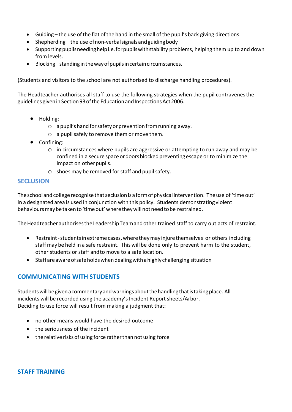- Guiding the use of the flat of the hand in the small of the pupil's back giving directions.
- Shepherding the use of non-verbal signals and guiding body
- Supporting pupils needing helpi.e. for pupils with stability problems, helping them up to and down from levels.
- Blocking–standinginthewayofpupilsincertaincircumstances.

(Students and visitors to the school are not authorised to discharge handling procedures).

The Headteacher authorises all staff to use the following strategies when the pupil contravenesthe guidelines given in Section 93 of the Education and Inspections Act 2006.

- Holding:
	- $\circ$  a pupil's hand for safety or prevention from running away.
	- o a pupil safely to remove them or move them.
- Confining:
	- o in circumstances where pupils are aggressive or attempting to run away and may be confined in a secure space or doors blocked preventing escape or to minimize the impact on other pupils.
	- $\circ$  shoes may be removed for staff and pupil safety.

#### **SECLUSION**

The school and college recognise that seclusion is a form of physical intervention. The use of 'time out' in a designated area is used in conjunction with this policy. Students demonstrating violent behavioursmaybetakento'timeout'wheretheywillnotneedtobe restrained.

The Headteacher authorises the Leadership Team and other trained staff to carry out acts of restraint.

- Restraint-studentsinextreme cases,wheretheymay injure themselves or others including staff may be held in a safe restraint. This will be done only to prevent harm to the student, other students or staff andto move to a safe location.
- Staffareawareofsafeholdswhendealingwithahighlychallenging situation

#### **COMMUNICATING WITH STUDENTS**

Studentswillbegivenacommentaryandwarningsaboutthehandlingthatistakingplace. All incidents will be recorded using the academy's Incident Report sheets/Arbor. Deciding to use force will result from making a judgment that:

- no other means would have the desired outcome
- the seriousness of the incident
- the relative risksof using force ratherthan not using force

#### **STAFF TRAINING**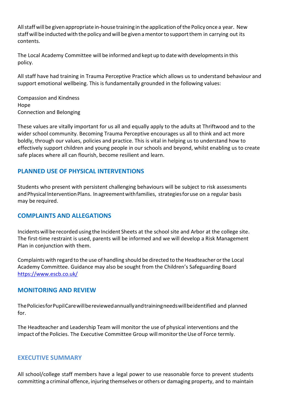Allstaffwillbe givenappropriate in-housetraining in the application ofthe Policyonce a year. New staff will be inductedwith the policy andwill be given amentorto supportthem in carrying out its contents.

The Local Academy Committee will be informed and kept up to datewith developmentsin this policy.

All staff have had training in Trauma Perceptive Practice which allows us to understand behaviour and support emotional wellbeing. This is fundamentally grounded in the following values:

Compassion and Kindness Hope Connection and Belonging

These values are vitally important for us all and equally apply to the adults at Thriftwood and to the wider school community. Becoming Trauma Perceptive encourages us all to think and act more boldly, through our values, policies and practice. This is vital in helping us to understand how to effectively support children and young people in our schools and beyond, whilst enabling us to create safe places where all can flourish, become resilient and learn.

#### **PLANNED USE OF PHYSICAL INTERVENTIONS**

Students who present with persistent challenging behaviours will be subject to risk assessments and Physical Intervention Plans. In agreement with families, strategies for use on a regular basis may be required.

#### **COMPLAINTS AND ALLEGATIONS**

Incidents will be recorded using the Incident Sheets at the school site and Arbor at the college site. The first-time restraint is used, parents will be informed and we will develop a Risk Management Plan in conjunction with them.

Complaints with regard to the use of handling should be directed to the Headteacher orthe Local Academy Committee. Guidance may also be sought from the Children's Safeguarding Board <https://www.escb.co.uk/>

#### **MONITORING AND REVIEW**

ThePoliciesforPupilCarewillbereviewedannuallyandtrainingneedswillbeidentified and planned for.

The Headteacher and Leadership Team will monitor the use of physical interventions and the impact of the Policies. The Executive Committee Group will monitor the Use of Force termly.

#### **EXECUTIVE SUMMARY**

All school/college staff members have a legal power to use reasonable force to prevent students committing a criminal offence, injuring themselves or others or damaging property, and to maintain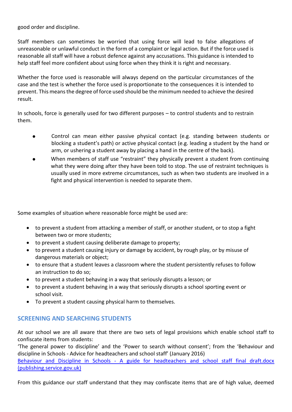good order and discipline.

Staff members can sometimes be worried that using force will lead to false allegations of unreasonable or unlawful conduct in the form of a complaint or legal action. But if the force used is reasonable all staff will have a robust defence against any accusations. This guidance is intended to help staff feel more confident about using force when they think it is right and necessary.

Whether the force used is reasonable will always depend on the particular circumstances of the case and the test is whether the force used is proportionate to the consequences it is intended to prevent. This means the degree of force used should be the minimum needed to achieve the desired result.

In schools, force is generally used for two different purposes – to control students and to restrain them.

- Control can mean either passive physical contact (e.g. standing between students or blocking a student's path) or active physical contact (e.g. leading a student by the hand or arm, or ushering a student away by placing a hand in the centre of the back). •
- When members of staff use "restraint" they physically prevent a student from continuing what they were doing after they have been told to stop. The use of restraint techniques is usually used in more extreme circumstances, such as when two students are involved in a fight and physical intervention is needed to separate them. •

Some examples of situation where reasonable force might be used are:

- to prevent a student from attacking a member of staff, or another student, or to stop a fight between two or more students;
- to prevent a student causing deliberate damage to property;
- to prevent a student causing injury or damage by accident, by rough play, or by misuse of dangerous materials or object;
- to ensure that a student leaves a classroom where the student persistently refuses to follow an instruction to do so;
- to prevent a student behaving in a way that seriously disrupts a lesson; or
- to prevent a student behaving in a way that seriously disrupts a school sporting event or school visit.
- To prevent a student causing physical harm to themselves.

#### **SCREENING AND SEARCHING STUDENTS**

At our school we are all aware that there are two sets of legal provisions which enable school staff to confiscate items from students:

'The general power to discipline' and the 'Power to search without consent'; from the 'Behaviour and discipline in Schools - Advice for headteachers and school staff' (January 2016) Behaviour and Discipline in Schools - [A guide for headteachers and school staff final draft.docx](https://assets.publishing.service.gov.uk/government/uploads/system/uploads/attachment_data/file/488034/Behaviour_and_Discipline_in_Schools_-_A_guide_for_headteachers_and_School_Staff.pdf)  [\(publishing.service.gov.uk\)](https://assets.publishing.service.gov.uk/government/uploads/system/uploads/attachment_data/file/488034/Behaviour_and_Discipline_in_Schools_-_A_guide_for_headteachers_and_School_Staff.pdf)

From this guidance our staff understand that they may confiscate items that are of high value, deemed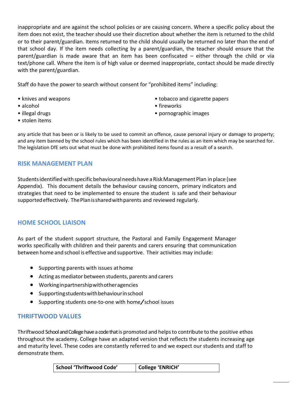inappropriate and are against the school policies or are causing concern. Where a specific policy about the item does not exist, the teacher should use their discretion about whether the item is returned to the child or to their parent/guardian. Items returned to the child should usually be returned no later than the end of that school day. If the item needs collecting by a parent/guardian, the teacher should ensure that the parent/guardian is made aware that an item has been confiscated – either through the child or via text/phone call. Where the item is of high value or deemed inappropriate, contact should be made directly with the parent/guardian.

Staff do have the power to search without consent for "prohibited items" including:

- knives and weapons
- alcohol
- illegal drugs
- stolen items
- tobacco and cigarette papers
- fireworks
- pornographic images

any article that has been or is likely to be used to commit an offence, cause personal injury or damage to property; and any item banned by the school rules which has been identified in the rules as an item which may be searched for. The legislation DfE sets out what must be done with prohibited items found as a result of a search.

#### **RISK MANAGEMENT PLAN**

Students identified with specific behavioural needs have a Risk Management Plan in place (see Appendix). This document details the behaviour causing concern, primary indicators and strategies that need to be implemented to ensure the student is safe and their behaviour supportedeffectively. ThePlanissharedwithparents and reviewed regularly.

#### **HOME SCHOOL LIAISON**

As part of the student support structure, the Pastoral and Family Engagement Manager works specifically with children and their parents and carers ensuring that communication between home and school is effective and supportive. Their activities may include:

- Supporting parents with issues at home
- Acting asmediator between students, parents and carers
- Workinginpartnershipwithotheragencies
- Supportingstudentswithbehaviourinschool
- Supporting students one-to-one with home/school issues

#### **THRIFTWOOD VALUES**

Thriftwood School and College have a code that is promoted and helpsto contribute to the positive ethos throughout the academy. College have an adapted version that reflects the students increasing age and maturity level. These codes are constantly referred to and we expect our students and staff to demonstrate them.

| <b>School 'Thriftwood Code'</b> | College 'ENRICH' |
|---------------------------------|------------------|
|---------------------------------|------------------|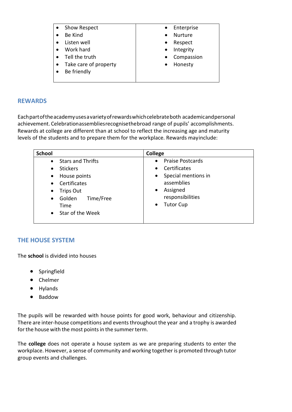| Show Respect          | Enterprise<br>$\bullet$ |
|-----------------------|-------------------------|
| Be Kind               | <b>Nurture</b>          |
| Listen well           | Respect<br>$\bullet$    |
| Work hard             | Integrity<br>$\bullet$  |
| Tell the truth        | Compassion              |
| Take care of property | Honesty                 |
| Be friendly           |                         |
|                       |                         |

#### **REWARDS**

Eachpartoftheacademyusesavarietyofrewardswhichcelebrateboth academicandpersonal achievement. Celebrationassembliesrecognisethebroad range of pupils' accomplishments. Rewards at college are different than at school to reflect the increasing age and maturity levels of the students and to prepare them for the workplace. Rewards mayinclude:

| <b>School</b>                    | College                              |
|----------------------------------|--------------------------------------|
| <b>Stars and Thrifts</b>         | <b>Praise Postcards</b><br>$\bullet$ |
| <b>Stickers</b><br>$\bullet$     | Certificates<br>$\bullet$            |
| House points<br>$\bullet$        | Special mentions in<br>$\bullet$     |
| Certificates<br>$\bullet$        | assemblies                           |
| <b>Trips Out</b><br>$\bullet$    | Assigned<br>$\bullet$                |
| Time/Free<br>Golden<br>$\bullet$ | responsibilities                     |
| Time                             | <b>Tutor Cup</b><br>$\bullet$        |
| Star of the Week<br>$\bullet$    |                                      |

#### **THE HOUSE SYSTEM**

The **school** is divided into houses

- Springfield
- Chelmer
- Hylands
- Baddow

The pupils will be rewarded with house points for good work, behaviour and citizenship. There are inter-house competitions and events throughout the year and a trophy is awarded for the house with the most points in the summer term.

The **college** does not operate a house system as we are preparing students to enter the workplace. However, a sense of community and working together is promoted through tutor group events and challenges.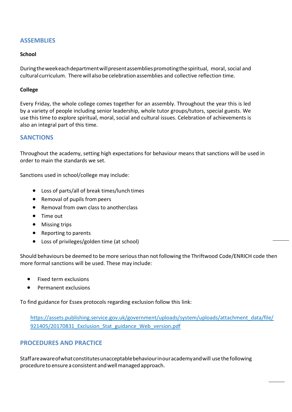#### **ASSEMBLIES**

#### **School**

Duringtheweekeachdepartmentwillpresentassembliespromotingthespiritual, moral, social and cultural curriculum. Therewillalsobecelebrationassemblies and collective reflection time.

#### **College**

Every Friday, the whole college comes together for an assembly. Throughout the year this is led by a variety of people including senior leadership, whole tutor groups/tutors, special guests. We use this time to explore spiritual, moral, social and cultural issues. Celebration of achievements is also an integral part of this time.

#### **SANCTIONS**

Throughout the academy, setting high expectations for behaviour means that sanctions will be used in order to main the standards we set.

Sanctions used in school/college may include:

- Loss of parts/all of break times/lunch times
- Removal of pupils from peers
- Removal from own class to anotherclass
- Time out
- Missing trips
- Reporting to parents
- Loss of privileges/golden time (at school)

Should behaviours be deemed to be more serious than not following the Thriftwood Code/ENRICH code then more formal sanctions will be used. These may include:

- Fixed term exclusions
- Permanent exclusions

To find guidance for Essex protocols regarding exclusion follow this link:

[https://assets.publishing.service.gov.uk/government/uploads/system/uploads/attachment\\_data/file/](https://assets.publishing.service.gov.uk/government/uploads/system/uploads/attachment_data/file/) 921405/20170831 Exclusion Stat guidance Web version.pdf

#### **PROCEDURES AND PRACTICE**

Staffareawareofwhatconstitutesunacceptablebehaviourinouracademyandwill use thefollowing procedure to ensurea consistent andwellmanaged approach.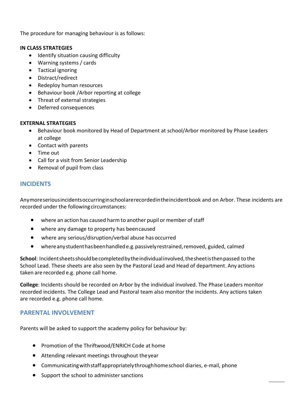The procedure for managing behaviour is as follows:

#### **IN CLASS STRATEGIES**

- Identify situation causing difficulty
- Warning systems / cards
- Tactical ignoring
- Distract/redirect
- Redeploy human resources
- Behaviour book /Arbor reporting at college
- Threat of external strategies
- Deferred consequences

#### **EXTERNAL STRATEGIES**

- Behaviour book monitored by Head of Department at school/Arbor monitored by Phase Leaders at college
- Contact with parents
- Time out
- Call for a visit from Senior Leadership
- Removal of pupil from class

#### **INCIDENTS**

Anymoreseriousincidentsoccurringinschoolarerecordedintheincidentbook and on Arbor. These incidents are recorded under the following circumstances:

- where an action has caused harm to another pupil or member of staff
- where any damage to property has beencaused
- where any serious/disruption/verbal abuse has occurred
- whereanystudenthasbeenhandlede.g.passivelyrestrained,removed, guided, calmed

School: Incident sheets should be completed by the individual involved, the sheet is then passed to the School Lead. These sheets are also seen by the Pastoral Lead and Head of department. Any actions taken are recorded e.g. phone call home.

**College**: Incidents should be recorded on Arbor by the individual involved. The Phase Leaders monitor recorded incidents. The College Lead and Pastoral team also monitor the incidents. Any actions taken are recorded e.g. phone call home.

#### **PARENTAL INVOLVEMENT**

Parents will be asked to support the academy policy for behaviour by:

- Promotion of the Thriftwood/ENRICH Code at home
- Attending relevant meetings throughout theyear
- Communicatingwithstaffappropriatelythroughhomeschool diaries, e-mail, phone
- Support the school to administer sanctions